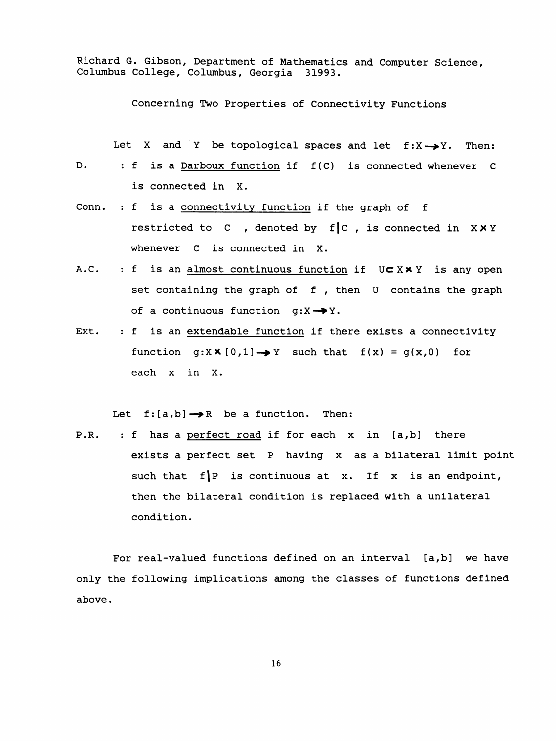Richard G. Gibson, Department of Mathematics and Computer Science. Columbus College, Columbus, Georgia 31993.

Concerning Two Properties of Connectivity Functions

Let X and Y be topological spaces and let  $f:X\rightarrow Y$ . Then:

- D. : f is a Darboux function if f(C) is connected whenever C is connected in X.
- Conn. : f is a connectivity function if the graph of f restricted to  $C$ , denoted by f  $C$ , is connected in XXY whenever C is connected in X.
- A.C. : f is an almost continuous function if  $U\subset X\times Y$  is any open set containing the graph of f, then U contains the graph of a continuous function  $g: X \rightarrow Y$ .
- Ext. : f is an extendable function if there exists a connectivity function  $g:X \times [0,1] \rightarrow Y$  such that  $f(x) = g(x,0)$  for each X in X.

Let  $f:[a,b]\rightarrow \mathbb{R}$  be a function. Then:

 P.R. : f has a perfect road if for each x in [a,b] there exists a perfect set P having x as a bilateral limit point such that  $f|P$  is continuous at x. If x is an endpoint, then the bilateral condition is replaced with a unilateral condition.

For real-valued functions defined on an interval [a,b] we have only the following implications among the classes of functions defined above .

16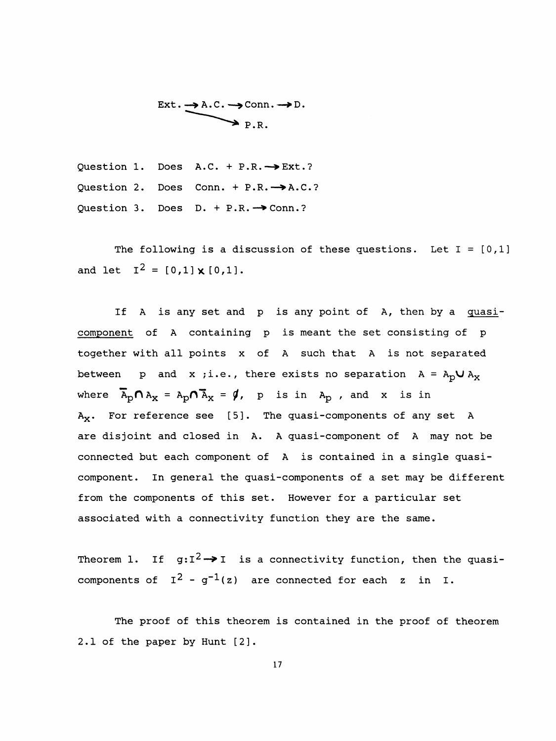$$
\begin{array}{c}\n\text{Ext.} \longrightarrow \text{A.C.} \longrightarrow \text{Conn.} \longrightarrow \text{D.} \\
\longrightarrow \text{P.R.}\n\end{array}
$$

Question 1. Does  $A.C. + P.R. \rightarrow Ext.$ ? Question 2. Does Conn. +  $P.R. \rightarrow A.C.$ ? Question 3. Does  $D. + P.R. \rightarrow conn.$ ?

The following is a discussion of these questions. Let  $I = [0,1]$ and let  $I^2 = [0,1] \times [0,1]$ .

If A is any set and p is any point of A, then by a quasi component of A containing p is meant the set consisting of p together with all points x of A such that A is not separated between p and x ;i.e., there exists no separation  $A = A_p \cup A_x$ where  $\overline{A}_p \cap A_x = A_p \cap \overline{A}_x = \emptyset$ , p is in  $A_p$ , and x is in  $A_X$ . For reference see [5]. The quasi-components of any set A are disjoint and closed in A. A quasi -component of A may not be connected but each component of A is contained in a single quasi component. In general the quasi-components of a set may be different from the components of this set. However for a particular set associated with a connectivity function they are the same.

Theorem 1. If  $g:I^2 \rightarrow I$  is a connectivity function, then the quasicomponents of  $I^2 - g^{-1}(z)$  are connected for each z in I.

 The proof of this theorem is contained in the proof of theorem 2.1 of the paper by Hunt [2].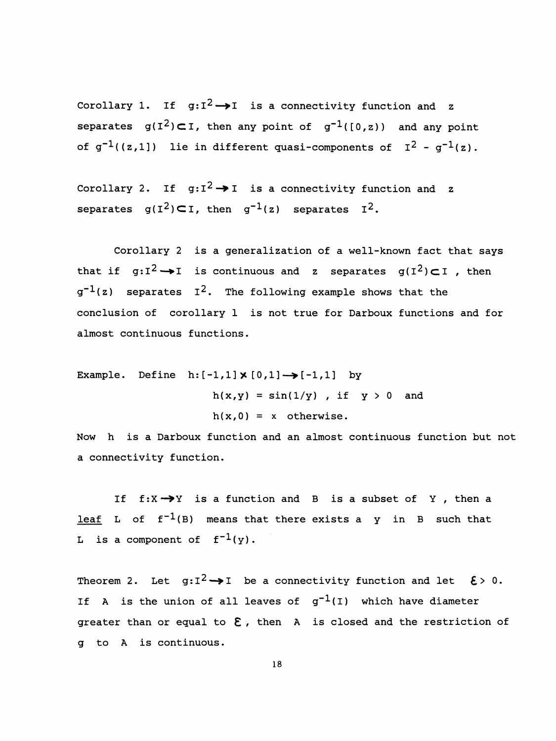Corollary 1. If  $q:I^2 \rightarrow I$  is a connectivity function and z separates  $g(I^2) \subset I$ , then any point of  $g^{-1}([0,z))$  and any point of  $g^{-1}((z,1])$  lie in different quasi-components of  $I^2 - g^{-1}(z)$ .

Corollary 2. If  $g:I^2 \rightarrow I$  is a connectivity function and z separates  $g(I^2)C I$ , then  $g^{-1}(z)$  separates  $I^2$ .

 Corollary 2 is a generalization of a well-known fact that says that if  $g:I^2 \rightarrow I$  is continuous and z separates  $g(I^2) \subset I$ , then  $g^{-1}(z)$  separates I<sup>2</sup>. The following example shows that the conclusion of corollary 1 is not true for Darboux functions and for almost continuous functions.

Example. Define  $h: [-1,1] \times [0,1] \rightarrow [-1,1]$  by  $h(x,y) = sin(1/y)$ , if  $y > 0$  and  $h(x,0) = x$  otherwise.

 Now h is a Darboux function and an almost continuous function but not a connectivity function.

If  $f: X \rightarrow Y$  is a function and B is a subset of Y, then a <u>leaf</u> L of  $f^{-1}(B)$  means that there exists a y in B such that L is a component of  $f^{-1}(y)$ .

Theorem 2. Let  $g: I^2 \rightarrow I$  be a connectivity function and let  $\xi > 0$ . If A is the union of all leaves of  $g^{-1}(I)$  which have diameter greater than or equal to  $\epsilon$ , then A is closed and the restriction of g to A is continuous.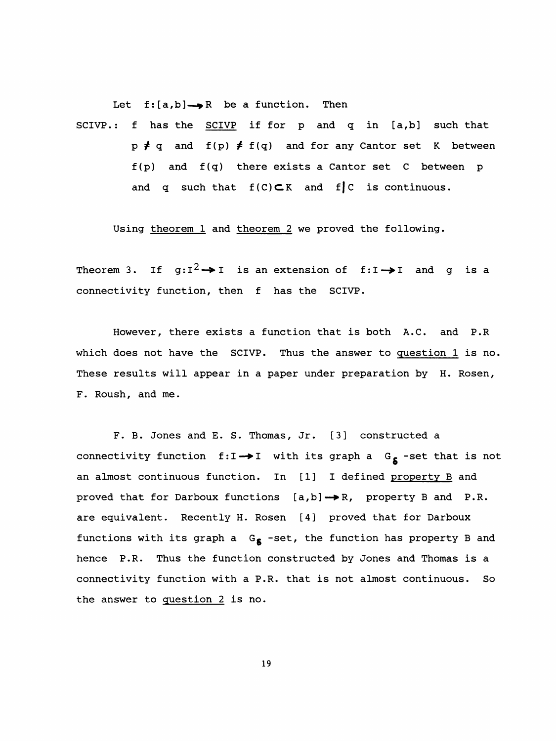Let  $f:[a,b] \rightarrow \mathbb{R}$  be a function. Then

 SCIVP. : f has the SCIVP if for p and q in [a,b] such that  $p \neq q$  and  $f(p) \neq f(q)$  and for any Cantor set K between  $f(p)$  and  $f(q)$  there exists a Cantor set C between p and q such that  $f(C) \subset K$  and  $f \subset K$  is continuous.

Using theorem 1 and theorem 2 we proved the following.

Theorem 3. If  $g:I^2 \rightarrow I$  is an extension of f:I $\rightarrow$ I and g is a connectivity function, then f has the SCIVP.

 However, there exists a function that is both A.C. and P.R which does not have the SCIVP. Thus the answer to question 1 is no. These results will appear in a paper under preparation by H. Rosen, F. Roush, and me.

 F. B. Jones and E. S. Thomas, Jr. [3] constructed a connectivity function  $f:I\rightarrow I$  with its graph a  $G_{\delta}$  -set that is not an almost continuous function. In [1] I defined property B and proved that for Darboux functions  $[a,b] \rightarrow R$ , property B and P.R. are equivalent. Recently H. Rosen [4] proved that for Darboux functions with its graph a  $G_{\beta}$  -set, the function has property B and hence P.R. Thus the function constructed by Jones and Thomas is a connectivity function with a P.R. that is not almost continuous. So the answer to question 2 is no.

19